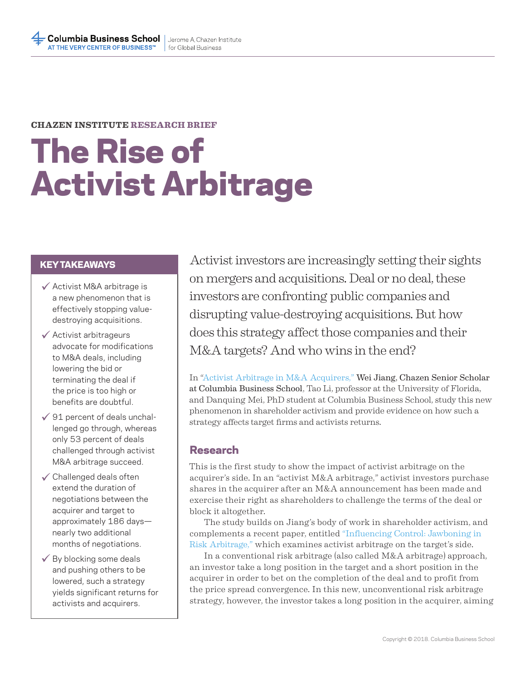### **CHAZEN INSTITUTE RESEARCH BRIEF**

# The Rise of Activist Arbitrage

- Activist M&A arbitrage is a new phenomenon that is effectively stopping valuedestroying acquisitions.
- $\checkmark$  Activist arbitrageurs advocate for modifications to M&A deals, including lowering the bid or terminating the deal if the price is too high or benefits are doubtful.
- $\checkmark$  91 percent of deals unchallenged go through, whereas only 53 percent of deals challenged through activist M&A arbitrage succeed.
- $\checkmark$  Challenged deals often extend the duration of negotiations between the acquirer and target to approximately 186 days nearly two additional months of negotiations.
- $\checkmark$  By blocking some deals and pushing others to be lowered, such a strategy yields significant returns for activists and acquirers.

KEY TAKEAWAYS Activist investors are increasingly setting their sights on mergers and acquisitions. Deal or no deal, these investors are confronting public companies and disrupting value-destroying acquisitions. But how does this strategy affect those companies and their M&A targets? And who wins in the end?

> In "Activist Arbitrage in M&A Acquirers," Wei Jiang, Chazen Senior Scholar at Columbia Business School, Tao Li, professor at the University of Florida, and Danquing Mei, PhD student at Columbia Business School, study this new phenomenon in shareholder activism and provide evidence on how such a strategy affects target firms and activists returns.

## Research

This is the first study to show the impact of activist arbitrage on the acquirer's side. In an "activist M&A arbitrage," activist investors purchase shares in the acquirer after an M&A announcement has been made and exercise their right as shareholders to challenge the terms of the deal or block it altogether.

The study builds on Jiang's body of work in shareholder activism, and complements a recent paper, entitled "Influencing Control: Jawboning in Risk Arbitrage," which examines activist arbitrage on the target's side.

In a conventional risk arbitrage (also called M&A arbitrage) approach, an investor take a long position in the target and a short position in the acquirer in order to bet on the completion of the deal and to profit from the price spread convergence. In this new, unconventional risk arbitrage strategy, however, the investor takes a long position in the acquirer, aiming